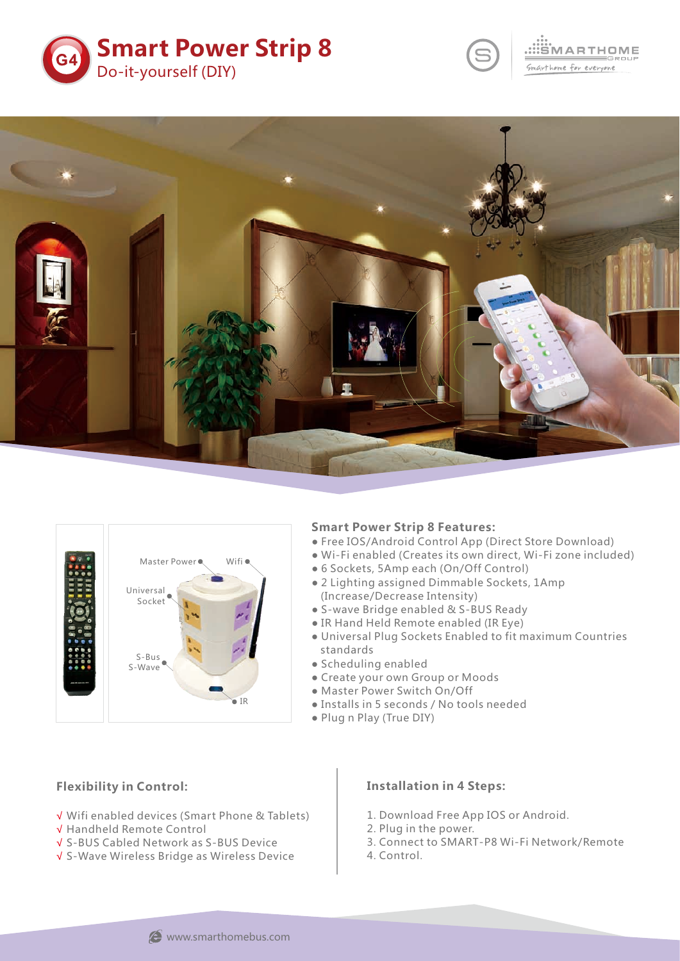



# .<br>MARTHOME Smarthome for everyone





#### **Smart Power Strip 8 Features:**

- Free IOS/Android Control App (Direct Store Download)
- Wi-Fi enabled (Creates its own direct, Wi-Fi zone included)
- 6 Sockets, 5Amp each (On/Off Control)
- 2 Lighting assigned Dimmable Sockets, 1Amp (Increase/Decrease Intensity)
- S-wave Bridge enabled & S-BUS Ready
- IR Hand Held Remote enabled (IR Eye)
- Universal Plug Sockets Enabled to fit maximum Countries standards
- Scheduling enabled
- Create your own Group or Moods
- Master Power Switch On/Off
- Installs in 5 seconds / No tools needed
- Plug n Play (True DIY)

## **Flexibility in Control:**

- Wifi enabled devices (Smart Phone & Tablets) √
- Handheld Remote Control √
- S-BUS Cabled Network as S-BUS Device √
- S-Wave Wireless Bridge as Wireless Device √

#### **Installation in 4 Steps:**

- 1. Download Free App IOS or Android.
- 2. Plug in the power.
- 3. Connect to SMART-P8 Wi-Fi Network/Remote
- 4. Control.